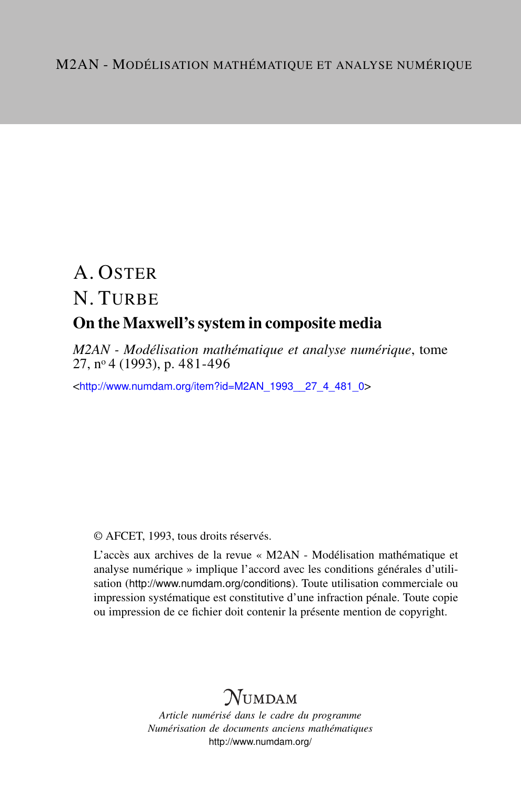# A. OSTER N. TURBE On the Maxwell's system in composite media

*M2AN - Modélisation mathématique et analyse numérique*, tome 27, n<sup>o</sup> 4 (1993), p. 481-496

<[http://www.numdam.org/item?id=M2AN\\_1993\\_\\_27\\_4\\_481\\_0](http://www.numdam.org/item?id=M2AN_1993__27_4_481_0)>

© AFCET, 1993, tous droits réservés.

L'accès aux archives de la revue « M2AN - Modélisation mathématique et analyse numérique » implique l'accord avec les conditions générales d'utilisation (<http://www.numdam.org/conditions>). Toute utilisation commerciale ou impression systématique est constitutive d'une infraction pénale. Toute copie ou impression de ce fichier doit contenir la présente mention de copyright.

## **NUMDAM**

*Article numérisé dans le cadre du programme Numérisation de documents anciens mathématiques* <http://www.numdam.org/>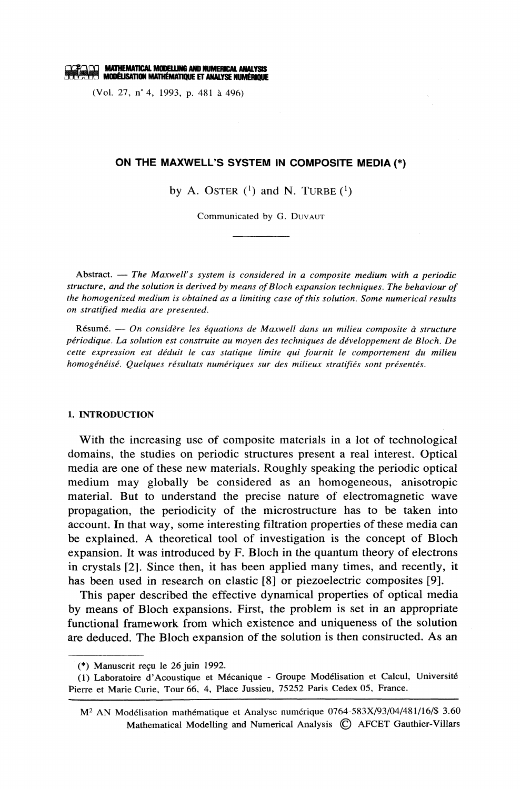**the Mathematical Modelling and Numerical Analysis<br>All Modélisation Mathématioue et Analyse Numérique** 

(Vol. 27, n° 4, 1993, p. 481 à 496)

## ON THE MAXWELL'S SYSTEM IN COMPOSITE MEDIA (\*)

by A. OSTER  $(1)$  and N. TURBE  $(1)$ 

Communicated by G. DUVAUT

Abstract.  $-$  The Maxwell's system is considered in a composite medium with a periodic structure, and the solution is derived by means of Bloch expansion techniques. The behaviour of the homogenized medium is obtained as a limiting case of this solution. Some numerical results on stratified media are presented.

Résumé. — On considère les équations de Maxwell dans un milieu composite à structure périodique. La solution est construite au moyen des techniques de développement de Bloch. De cette expression est déduit le cas statique limite qui fournit le comportement du milieu homogénéisé. Quelques résultats numériques sur des milieux stratifiés sont présentés.

### 1. INTRODUCTION

With the increasing use of composite materials in a lot of technological domains, the studies on periodic structures present a real interest. Optical media are one of these new materials. Roughly speaking the periodic optical medium may globally be considered as an homogeneous, anisotropic material. But to understand the precise nature of electromagnetic wave propagation, the periodicity of the microstructure has to be taken into account. In that way, some interesting filtration properties of these media can be explained. A theoretical tool of investigation is the concept of Bloch expansion. It was introduced by F. Bloch in the quantum theory of electrons in crystals [2]. Since then, it has been applied many times, and recently, it has been used in research on elastic [8] or piezoelectric composites [9].

This paper described the effective dynamical properties of optical media by means of Bloch expansions. First, the problem is set in an appropriate functional framework from which existence and uniqueness of the solution are deduced. The Bloch expansion of the solution is then constructed. As an

<sup>(\*)</sup> Manuscrit recu le 26 juin 1992.

<sup>(1)</sup> Laboratoire d'Acoustique et Mécanique - Groupe Modélisation et Calcul, Université Pierre et Marie Curie, Tour 66, 4, Place Jussieu, 75252 Paris Cedex 05, France.

M<sup>2</sup> AN Modélisation mathématique et Analyse numérique 0764-583X/93/04/481/16/\$ 3.60 Mathematical Modelling and Numerical Analysis © AFCET Gauthier-Villars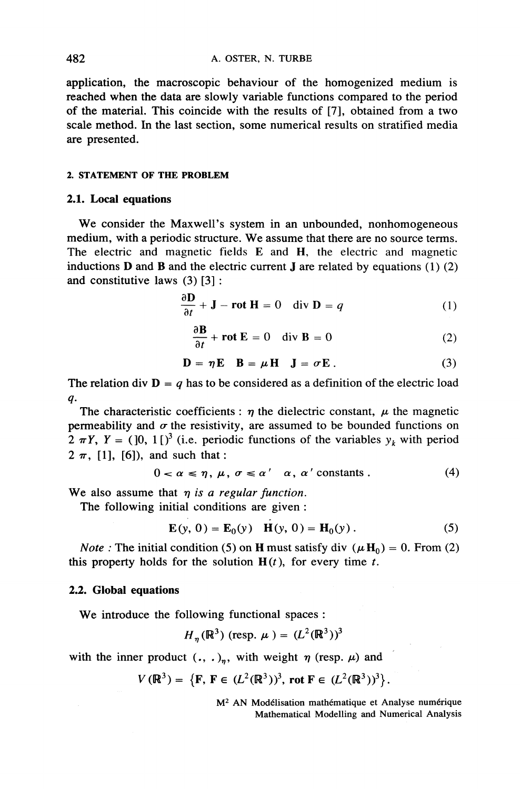application, the macroscopic behaviour of the homogenized medium is reached when the data are slowly variable functions compared to the period of the material. This coincide with the results of [7], obtained from a two scale method. In the last section, some numerical results on stratified media are presented.

## 2. STATEMENT OF THE PROBLEM

## 2.1. Local equations

We consider the Maxwell's system in an unbounded, nonhomogeneous medium, with a periodic structure. We assume that there are no source terms. The electric and magnetic fields E and H, the electric and magnetic inductions  $D$  and  $B$  and the electric current  $J$  are related by equations (1) (2) and constitutive laws  $(3)$  [3]:

$$
\frac{\partial \mathbf{D}}{\partial t} + \mathbf{J} - \mathbf{rot} \mathbf{H} = 0 \quad \text{div } \mathbf{D} = q \tag{1}
$$

$$
\frac{\partial \mathbf{B}}{\partial t} + \mathbf{rot} \mathbf{E} = 0 \quad \text{div } \mathbf{B} = 0 \tag{2}
$$

$$
\mathbf{D} = \eta \mathbf{E} \quad \mathbf{B} = \mu \mathbf{H} \quad \mathbf{J} = \sigma \mathbf{E} \,. \tag{3}
$$

The relation div  $\mathbf{D} = q$  has to be considered as a definition of the electric load  $\boldsymbol{q}$ .

The characteristic coefficients :  $\eta$  the dielectric constant,  $\mu$  the magnetic permeability and  $\sigma$  the resistivity, are assumed to be bounded functions on  $2 \pi Y$ ,  $Y = (0, 1)^3$  (i.e. periodic functions of the variables  $y_k$  with period  $2 \pi$ , [1], [6]), and such that:

$$
0 < \alpha \leq \eta, \, \mu, \, \sigma \leq \alpha' \quad \alpha, \, \alpha' \text{ constants.} \tag{4}
$$

We also assume that  $\eta$  is a regular function.

The following initial conditions are given:

$$
\mathbf{E}(y, 0) = \mathbf{E}_0(y) \quad \mathbf{H}(y, 0) = \mathbf{H}_0(y) \,. \tag{5}
$$

*Note*: The initial condition (5) on **H** must satisfy div ( $\mu$ **H**<sub>0</sub>) = 0. From (2) this property holds for the solution  $H(t)$ , for every time t.

## 2.2. Global equations

We introduce the following functional spaces :

$$
H_n(\mathbb{R}^3)
$$
 (resp.  $\mu$ ) =  $(L^2(\mathbb{R}^3))^3$ 

with the inner product  $(., .)_n$ , with weight  $\eta$  (resp.  $\mu$ ) and

$$
V(\mathbb{R}^3) = \{ \mathbf{F}, \, \mathbf{F} \in (L^2(\mathbb{R}^3))^3, \, \text{rot } \mathbf{F} \in (L^2(\mathbb{R}^3))^3 \}.
$$

M<sup>2</sup> AN Modélisation mathématique et Analyse numérique Mathematical Modelling and Numerical Analysis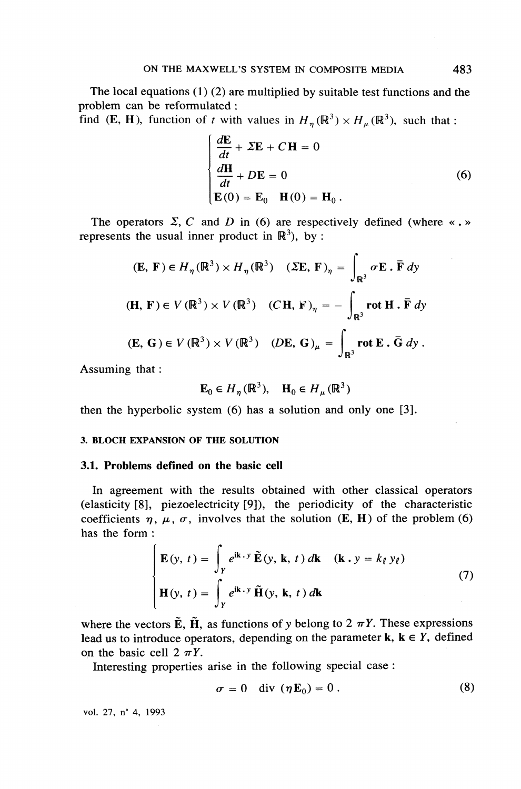The local equations  $(1)$   $(2)$  are multiplied by suitable test functions and the problem can be reformulated :

find (E, H), function of t with values in  $H_n(\mathbb{R}^3) \times H_n(\mathbb{R}^3)$ , such that:

$$
\frac{d\mathbf{E}}{dt} + \Sigma \mathbf{E} + C \mathbf{H} = 0
$$
  
\n
$$
\frac{d\mathbf{H}}{dt} + D\mathbf{E} = 0
$$
  
\n
$$
\mathbf{E}(0) = \mathbf{E}_0 \quad \mathbf{H}(0) = \mathbf{H}_0.
$$
 (6)

The operators  $\Sigma$ , C and D in (6) are respectively defined (where «... represents the usual inner product in  $\mathbb{R}^3$ ), by :

$$
(\mathbf{E}, \mathbf{F}) \in H_{\eta}(\mathbb{R}^3) \times H_{\eta}(\mathbb{R}^3) \quad (\Sigma \mathbf{E}, \mathbf{F})_{\eta} = \int_{\mathbb{R}^3} \sigma \mathbf{E} \cdot \overline{\mathbf{F}} \, dy
$$
  
\n
$$
(\mathbf{H}, \mathbf{F}) \in V(\mathbb{R}^3) \times V(\mathbb{R}^3) \quad (C\mathbf{H}, \mathbf{F})_{\eta} = -\int_{\mathbb{R}^3} \operatorname{rot} \mathbf{H} \cdot \overline{\mathbf{F}} \, dy
$$
  
\n
$$
(\mathbf{E}, \mathbf{G}) \in V(\mathbb{R}^3) \times V(\mathbb{R}^3) \quad (D\mathbf{E}, \mathbf{G})_{\mu} = \int_{\mathbb{R}^3} \operatorname{rot} \mathbf{E} \cdot \overline{\mathbf{G}} \, dy \, .
$$

Assuming that:

$$
\mathbf{E}_0 \in H_\eta(\mathbb{R}^3), \quad \mathbf{H}_0 \in H_\mu(\mathbb{R}^3)
$$

then the hyperbolic system  $(6)$  has a solution and only one  $[3]$ .

### **3. BLOCH EXPANSION OF THE SOLUTION**

#### 3.1. Problems defined on the basic cell

In agreement with the results obtained with other classical operators (elasticity [8], piezoelectricity [9]), the periodicity of the characteristic coefficients  $\eta$ ,  $\mu$ ,  $\sigma$ , involves that the solution (E, H) of the problem (6) has the form:

$$
\begin{cases}\n\mathbf{E}(y, t) = \int_{Y} e^{i\mathbf{k} \cdot y} \tilde{\mathbf{E}}(y, \mathbf{k}, t) d\mathbf{k} & (\mathbf{k} \cdot y = k_{\ell} y_{\ell}) \\
\mathbf{H}(y, t) = \int_{Y} e^{i\mathbf{k} \cdot y} \tilde{\mathbf{H}}(y, \mathbf{k}, t) d\mathbf{k}\n\end{cases}
$$
\n(7)

where the vectors  $\tilde{E}$ ,  $\tilde{H}$ , as functions of y belong to 2  $\pi Y$ . These expressions lead us to introduce operators, depending on the parameter  $\mathbf{k}$ ,  $\mathbf{k} \in Y$ , defined on the basic cell  $2 \pi Y$ .

Interesting properties arise in the following special case:

$$
\sigma = 0 \quad \text{div} \, (\eta \mathbf{E}_0) = 0 \,. \tag{8}
$$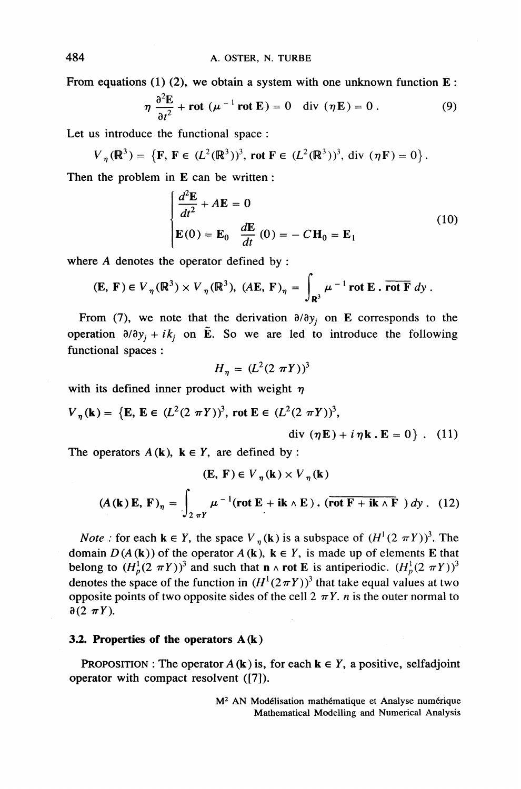From equations (1) (2), we obtain a system with one unknown function  $E$ :

$$
\eta \frac{\partial^2 \mathbf{E}}{\partial t^2} + \mathbf{rot} \ (\mu^{-1} \ \mathbf{rot} \ \mathbf{E}) = 0 \quad \text{div} \ (\eta \mathbf{E}) = 0 \ . \tag{9}
$$

Let us introduce the functional space:

$$
V_{\eta}(\mathbb{R}^{3}) = \{ \mathbf{F}, \, \mathbf{F} \in (L^{2}(\mathbb{R}^{3}))^{3}, \text{ rot } \mathbf{F} \in (L^{2}(\mathbb{R}^{3}))^{3}, \text{ div } (\eta \mathbf{F}) = 0 \}
$$

Then the problem in E can be written:

$$
\frac{d^2 \mathbf{E}}{dt^2} + A \mathbf{E} = 0
$$
  

$$
\mathbf{E}(0) = \mathbf{E}_0 \frac{d\mathbf{E}}{dt}(0) = -C\mathbf{H}_0 = \mathbf{E}_1
$$
 (10)

where  $A$  denotes the operator defined by:

$$
(\mathbf{E}, \mathbf{F}) \in V_{\eta}(\mathbb{R}^3) \times V_{\eta}(\mathbb{R}^3), (A\mathbf{E}, \mathbf{F})_{\eta} = \int_{\mathbb{R}^3} \mu^{-1} \operatorname{rot} \mathbf{E} \cdot \overline{\operatorname{rot} \mathbf{F}} \, dy.
$$

From (7), we note that the derivation  $\partial/\partial y_i$  on E corresponds to the operation  $\partial/\partial y_i + i k_i$  on  $\tilde{E}$ . So we are led to introduce the following functional spaces :

$$
H_n = (L^2(2 \pi Y))^3
$$

with its defined inner product with weight  $\eta$ 

$$
V_{\eta}(\mathbf{k}) = \{ \mathbf{E}, \, \mathbf{E} \in (L^2(2 \pi Y))^3, \text{ rot } \mathbf{E} \in (L^2(2 \pi Y))^3,
$$

$$
\text{div} \, (\boldsymbol{\eta} \mathbf{E}) + i \, \boldsymbol{\eta} \mathbf{k} \cdot \mathbf{E} = 0 \} \ . \ (11)
$$

The operators  $A(k)$ ,  $k \in Y$ , are defined by:

$$
(\mathbf{E}, \mathbf{F}) \in V_{\eta}(\mathbf{k}) \times V_{\eta}(\mathbf{k})
$$
  
(A (k)  $\mathbf{E}, \mathbf{F})_{\eta} = \int_{2 \pi Y} \mu^{-1} (\text{rot } \mathbf{E} + i\mathbf{k} \wedge \mathbf{E}) \cdot (\overline{\text{rot } \mathbf{F} + i\mathbf{k} \wedge \mathbf{F}}) dy$ . (12)

*Note*: for each  $\mathbf{k} \in Y$ , the space  $V_n(\mathbf{k})$  is a subspace of  $(H^1(2 \pi Y))^3$ . The domain  $D(A(\mathbf{k}))$  of the operator  $A(\mathbf{k})$ ,  $\mathbf{k} \in Y$ , is made up of elements E that belong to  $(H_p^1(2 \pi Y))^3$  and such that  $n \wedge$  rot E is antiperiodic.  $(H_p^1(2 \pi Y))^3$ denotes the space of the function in  $(H^1(2\pi Y))^3$  that take equal values at two opposite points of two opposite sides of the cell  $2 \pi Y$ . *n* is the outer normal to  $\partial (2 \pi Y)$ .

## 3.2. Properties of the operators  $A(k)$

PROPOSITION : The operator  $A(k)$  is, for each  $k \in Y$ , a positive, selfadjoint operator with compact resolvent ([7]).

> M<sup>2</sup> AN Modélisation mathématique et Analyse numérique Mathematical Modelling and Numerical Analysis

484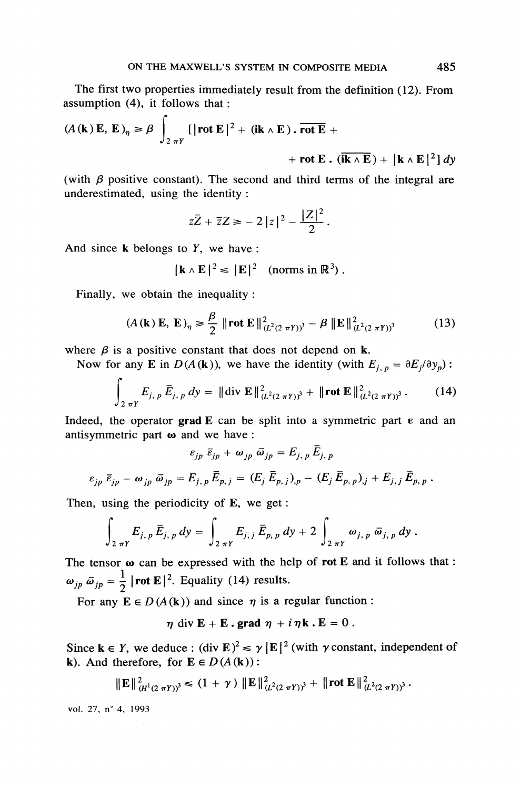The first two properties immediately result from the definition (12). From assumption  $(4)$ , it follows that :

$$
(A(\mathbf{k}) \mathbf{E}, \mathbf{E})_{\eta} \ge \beta \int_{2 \pi Y} [|\text{rot } \mathbf{E}|^2 + (\mathbf{i} \mathbf{k} \wedge \mathbf{E}). \overline{\text{rot } \mathbf{E}} ++ \text{rot } \mathbf{E}. (\overline{\mathbf{i} \mathbf{k} \wedge \mathbf{E}}) + |\mathbf{k} \wedge \mathbf{E}|^2] dy
$$

(with  $\beta$  positive constant). The second and third terms of the integral are underestimated, using the identity:

$$
z\overline{Z}+\overline{z}Z\geq -2|z|^2-\frac{|Z|^2}{2}.
$$

And since  $k$  belongs to  $Y$ , we have:

$$
|\mathbf{k} \wedge \mathbf{E}|^2 \leq |\mathbf{E}|^2 \quad \text{(norms in } \mathbb{R}^3) \, .
$$

Finally, we obtain the inequality:

$$
(A(\mathbf{k}) \mathbf{E}, \mathbf{E})_{\eta} \ge \frac{\beta}{2} \|\text{rot } \mathbf{E}\|_{(L^2(2 \pi Y))^3}^2 - \beta \|\mathbf{E}\|_{(L^2(2 \pi Y))^3}^2 \tag{13}
$$

where  $\beta$  is a positive constant that does not depend on k.

Now for any E in  $D(A(k))$ , we have the identity (with  $E_{i,p} = \partial E_i/\partial y_p$ ):

$$
\int_{2\pi Y} E_{j, p} \bar{E}_{j, p} dy = \|\text{div } \mathbf{E}\|_{(L^2(2\pi Y))^3}^2 + \|\text{rot } \mathbf{E}\|_{(L^2(2\pi Y))^3}^2. \tag{14}
$$

 $\blacksquare$ 

Indeed, the operator grad E can be split into a symmetric part  $\varepsilon$  and an antisymmetric part  $\omega$  and we have:

$$
\varepsilon_{jp} \ \overline{\varepsilon}_{jp} + \omega_{jp} \ \overline{\omega}_{jp} = E_{j,\ p} \overline{E}_{j,\ p}
$$

$$
\varepsilon_{jp} \ \overline{\varepsilon}_{jp} - \omega_{jp} \ \overline{\omega}_{jp} = E_{j,\ p} \overline{E}_{p,\ j} = (E_j \ \overline{E}_{p,\ j})_{,p} - (E_j \ \overline{E}_{p,\ p})_{,j} + E_{j,\ j} \ \overline{E}_{p,\ p} .
$$

Then, using the periodicity of E, we get:

$$
\int_{2\pi Y} E_{j,\,p} \, \bar{E}_{j,\,p} \, dy = \int_{2\pi Y} E_{j,\,j} \, \bar{E}_{p,\,p} \, dy + 2 \int_{2\pi Y} \omega_{j,\,p} \, \bar{\omega}_{j,\,p} \, dy \, .
$$

The tensor  $\omega$  can be expressed with the help of rot E and it follows that:  $\omega_{jp} \bar{\omega}_{jp} = \frac{1}{2} |\text{rot } \mathbf{E}|^2$ . Equality (14) results.

For any  $E \in D(A(k))$  and since  $\eta$  is a regular function:

 $\eta$  div E + E . grad  $\eta$  + i  $\eta$ k . E = 0.

Since  $\mathbf{k} \in Y$ , we deduce:  $(\text{div }\mathbf{E})^2 \le \gamma |\mathbf{E}|^2$  (with  $\gamma$  constant, independent of k). And therefore, for  $\mathbf{E} \in D(A(\mathbf{k}))$ :

 $||\mathbf{E}||_{(H^1(2 \pi Y))^3}^2 \le (1 + \gamma) ||\mathbf{E}||_{(L^2(2 \pi Y))^3}^2 + ||\text{rot } \mathbf{E}||_{(L^2(2 \pi Y))^3}^2.$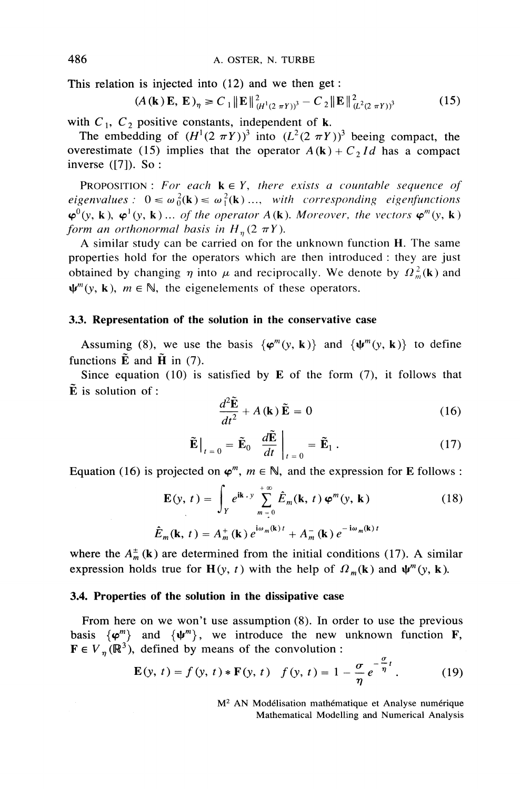This relation is injected into  $(12)$  and we then get:

$$
(A(\mathbf{k})\mathbf{E}, \mathbf{E})_{\eta} \ge C_1 \|\mathbf{E}\|_{(H^1(2 \pi Y))^3}^2 - C_2 \|\mathbf{E}\|_{(L^2(2 \pi Y))^3}^2
$$
(15)

with  $C_1$ ,  $C_2$  positive constants, independent of k.

The embedding of  $(H^1(2 \pi Y))^3$  into  $(L^2(2 \pi Y))^3$  beeing compact, the overestimate (15) implies that the operator  $A(\mathbf{k}) + C_2 Id$  has a compact inverse  $([7])$ . So :

**PROPOSITION:** For each  $k \in Y$ , there exists a countable sequence of eigenvalues:  $0 \le \omega_0^2(\mathbf{k}) \le \omega_1^2(\mathbf{k}) \dots$ , with corresponding eigenfunctions  $\varphi^0(y, k), \varphi^1(y, k) \dots$  of the operator  $A(k)$ . Moreover, the vectors  $\varphi^m(y, k)$ form an orthonormal basis in  $H_n(2 \pi Y)$ .

A similar study can be carried on for the unknown function H. The same properties hold for the operators which are then introduced : they are just obtained by changing  $\eta$  into  $\mu$  and reciprocally. We denote by  $\Omega_m^2(\mathbf{k})$  and  $\mathbf{\Psi}^m(\mathbf{v}, \mathbf{k})$ ,  $m \in \mathbb{N}$ , the eigenelements of these operators.

## 3.3. Representation of the solution in the conservative case

Assuming (8), we use the basis  $\{\varphi^{m}(y, k)\}\$  and  $\{\psi^{m}(y, k)\}\$  to define functions  $\tilde{E}$  and  $\tilde{H}$  in (7).

Since equation (10) is satisfied by  $E$  of the form (7), it follows that  $\tilde{E}$  is solution of :

$$
\frac{d^2 \mathbf{E}}{dt^2} + A(\mathbf{k}) \, \tilde{\mathbf{E}} = 0 \tag{16}
$$

$$
\tilde{\mathbf{E}}\Big|_{t=0} = \tilde{\mathbf{E}}_0 \frac{d\tilde{\mathbf{E}}}{dt}\Big|_{t=0} = \tilde{\mathbf{E}}_1.
$$
 (17)

Equation (16) is projected on  $\varphi^m$ ,  $m \in \mathbb{N}$ , and the expression for E follows :

$$
\mathbf{E}(y, t) = \int_{Y} e^{i\mathbf{k} \cdot y} \sum_{m=0}^{+\infty} \hat{E}_{m}(\mathbf{k}, t) \varphi^{m}(y, \mathbf{k})
$$
(18)  

$$
\hat{E}_{m}(\mathbf{k}, t) = A_{m}^{+}(\mathbf{k}) e^{i\omega_{m}(\mathbf{k})t} + A_{m}^{-}(\mathbf{k}) e^{-i\omega_{m}(\mathbf{k})t}
$$

where the  $A_m^{\pm}(\mathbf{k})$  are determined from the initial conditions (17). A similar expression holds true for  $\mathbf{H}(y, t)$  with the help of  $\Omega_m(\mathbf{k})$  and  $\psi^m(y, \mathbf{k})$ .

#### 3.4. Properties of the solution in the dissipative case

From here on we won't use assumption (8). In order to use the previous basis  $\{\varphi^m\}$  and  $\{\psi^m\}$ , we introduce the new unknown function **F**,  $\mathbf{F} \in V_n(\mathbb{R}^3)$ , defined by means of the convolution :

$$
\mathbf{E}(y, t) = f(y, t) * \mathbf{F}(y, t) \quad f(y, t) = 1 - \frac{\sigma}{\eta} e^{-\frac{\omega}{\eta}t}.
$$
 (19)

M<sup>2</sup> AN Modélisation mathématique et Analyse numérique Mathematical Modelling and Numerical Analysis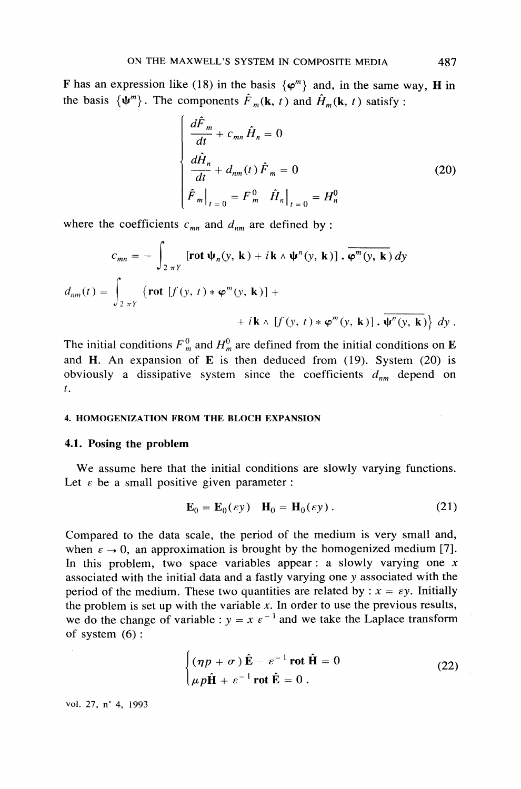F has an expression like (18) in the basis  $\{\varphi^m\}$  and, in the same way, H in the basis  $\{\psi^m\}$ . The components  $\hat{F}_m(\mathbf{k}, t)$  and  $\hat{H}_m(\mathbf{k}, t)$  satisfy:

$$
\begin{cases}\n\frac{d\hat{F}_m}{dt} + c_{mn}\hat{H}_n = 0 \\
\frac{d\hat{H}_n}{dt} + d_{nm}(t)\hat{F}_m = 0 \\
\hat{F}_m\big|_{t=0} = F_m^0 \hat{H}_n\big|_{t=0} = H_n^0\n\end{cases}
$$
\n(20)

where the coefficients  $c_{mn}$  and  $d_{nm}$  are defined by:

$$
c_{mn} = -\int_{2 \pi Y} \left[ \mathbf{rot} \, \Psi_n(y, \, \mathbf{k}) + i \, \mathbf{k} \wedge \Psi^n(y, \, \mathbf{k}) \right] \cdot \overline{\varphi^m(y, \, \mathbf{k})} \, dy
$$
\n
$$
d_{nm}(t) = \int_{2 \pi Y} \left\{ \mathbf{rot} \, \left[ f(y, \, t) \ast \varphi^m(y, \, \mathbf{k}) \right] + \right. \\
 \left. + i \, \mathbf{k} \wedge \left[ f(y, \, t) \ast \varphi^m(y, \, \mathbf{k}) \right] \cdot \overline{\Psi^n(y, \, \mathbf{k})} \right\} \, dy \, .
$$

The initial conditions  $F_m^0$  and  $H_m^0$  are defined from the initial conditions on **E** and H. An expansion of E is then deduced from  $(19)$ . System  $(20)$  is obviously a dissipative system since the coefficients  $d_{nm}$  depend on  $t$ .

#### 4. HOMOGENIZATION FROM THE BLOCH EXPANSION

#### 4.1. Posing the problem

We assume here that the initial conditions are slowly varying functions. Let  $\varepsilon$  be a small positive given parameter :

$$
\mathbf{E}_0 = \mathbf{E}_0(\varepsilon \mathbf{y}) \quad \mathbf{H}_0 = \mathbf{H}_0(\varepsilon \mathbf{y}). \tag{21}
$$

Compared to the data scale, the period of the medium is very small and, when  $\varepsilon \to 0$ , an approximation is brought by the homogenized medium [7]. In this problem, two space variables appear: a slowly varying one  $x$ associated with the initial data and a fastly varying one y associated with the period of the medium. These two quantities are related by :  $x = \varepsilon y$ . Initially the problem is set up with the variable  $x$ . In order to use the previous results, we do the change of variable :  $y = x e^{-1}$  and we take the Laplace transform of system  $(6)$ :

$$
\begin{cases}\n(\eta p + \sigma) \hat{\mathbf{E}} - \varepsilon^{-1} \text{rot } \hat{\mathbf{H}} = 0 \\
\mu p \hat{\mathbf{H}} + \varepsilon^{-1} \text{rot } \hat{\mathbf{E}} = 0 \,.\n\end{cases}
$$
\n(22)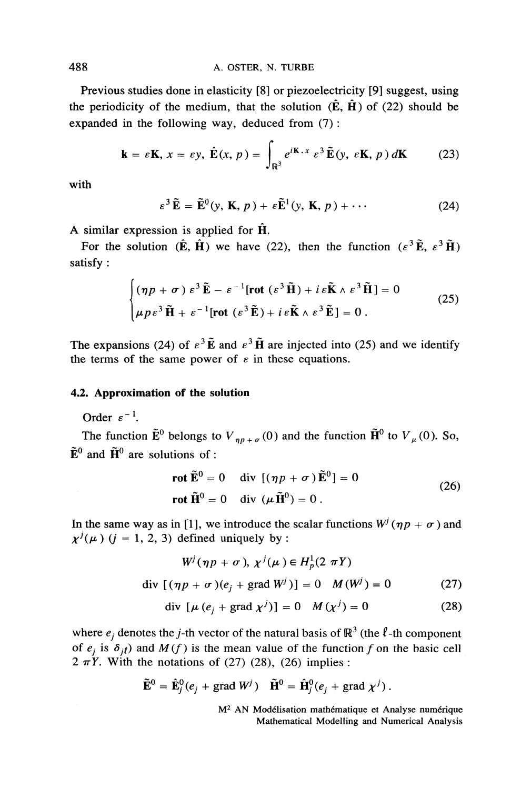Previous studies done in elasticity [8] or piezoelectricity [9] suggest, using the periodicity of the medium, that the solution  $(\mathbf{\hat{E}}, \mathbf{\hat{H}})$  of (22) should be expanded in the following way, deduced from  $(7)$ :

$$
\mathbf{k} = \varepsilon \mathbf{K}, \, x = \varepsilon y, \, \hat{\mathbf{E}}(x, \, p) = \int_{\mathbb{R}^3} e^{i\mathbf{K} \cdot x} \, \varepsilon^3 \, \tilde{\mathbf{E}}(y, \, \varepsilon \mathbf{K}, \, p) \, d\mathbf{K} \tag{23}
$$

with

$$
\varepsilon^{3} \tilde{\mathbf{E}} = \tilde{\mathbf{E}}^{0}(y, \mathbf{K}, p) + \varepsilon \tilde{\mathbf{E}}^{1}(y, \mathbf{K}, p) + \cdots
$$
 (24)

A similar expression is applied for  $\hat{H}$ .

For the solution  $(\hat{E}, \hat{H})$  we have (22), then the function  $(\varepsilon^3 \tilde{E}, \varepsilon^3 \tilde{H})$ satisfy:

$$
\begin{cases}\n(\eta p + \sigma) \ \varepsilon^3 \tilde{\mathbf{E}} - \varepsilon^{-1} [\text{rot} \ (\varepsilon^3 \tilde{\mathbf{H}}) + i \varepsilon \tilde{\mathbf{K}} \wedge \varepsilon^3 \tilde{\mathbf{H}}] = 0 \\
\mu p \varepsilon^3 \tilde{\mathbf{H}} + \varepsilon^{-1} [\text{rot} \ (\varepsilon^3 \tilde{\mathbf{E}}) + i \varepsilon \tilde{\mathbf{K}} \wedge \varepsilon^3 \tilde{\mathbf{E}}] = 0 .\n\end{cases}
$$
\n(25)

The expansions (24) of  $\varepsilon^3 \tilde{E}$  and  $\varepsilon^3 \tilde{H}$  are injected into (25) and we identify the terms of the same power of  $\varepsilon$  in these equations.

### 4.2. Approximation of the solution

Order  $\varepsilon^{-1}$ .

The function  $\tilde{E}^0$  belongs to  $V_{np+\sigma}(0)$  and the function  $\tilde{H}^0$  to  $V_\mu(0)$ . So,  $\tilde{E}^0$  and  $\tilde{H}^0$  are solutions of :

$$
\mathbf{rot}\,\mathbf{E}^0 = 0 \quad \text{div}\,[(\eta p + \sigma)\,\mathbf{E}^0] = 0
$$
\n
$$
\mathbf{rot}\,\mathbf{H}^0 = 0 \quad \text{div}\,(\mu\,\mathbf{H}^0) = 0 \,. \tag{26}
$$

 $\sim$ 

In the same way as in [1], we introduce the scalar functions  $W^j(\eta p + \sigma)$  and  $x^{j}(\mu)$  (*i* = 1, 2, 3) defined uniquely by :

$$
W^{j}(\eta p + \sigma), \chi^{j}(\mu) \in H_{p}^{1}(2 \pi Y)
$$
  
div  $[(\eta p + \sigma)(e_{j} + \text{grad } W^{j})] = 0$   $M(W^{j}) = 0$  (27)

$$
\text{div}\,\left[\mu\,(e_j + \text{grad}\,\,\chi^j)\right] = 0 \quad M\,(\chi^j) = 0 \tag{28}
$$

where  $e_i$  denotes the *j*-th vector of the natural basis of  $\mathbb{R}^3$  (the  $\ell$ -th component of  $e_j$  is  $\delta_{i\ell}$ ) and  $M(f)$  is the mean value of the function f on the basic cell  $2 \pi Y$ . With the notations of (27) (28), (26) implies :

$$
\widetilde{\mathbf{E}}^0 = \widehat{\mathbf{E}}_j^0(e_j + \text{grad } W^j) \quad \widetilde{\mathbf{H}}^0 = \widehat{\mathbf{H}}_j^0(e_j + \text{grad } \chi^j).
$$

M<sup>2</sup> AN Modélisation mathématique et Analyse numérique Mathematical Modelling and Numerical Analysis

488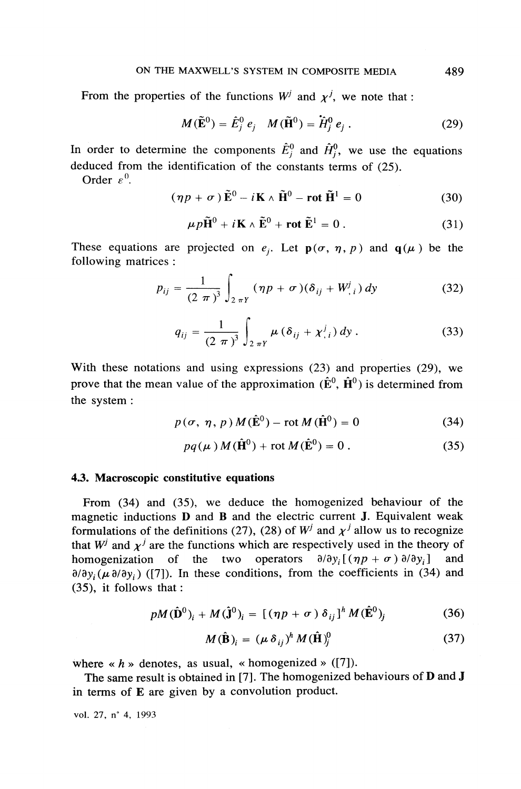From the properties of the functions  $W^j$  and  $\chi^j$ , we note that:

$$
M(\tilde{\mathbf{E}}^0) = \hat{E}_j^0 \, e_j \quad M(\tilde{\mathbf{H}}^0) = \hat{H}_j^0 \, e_j \,. \tag{29}
$$

In order to determine the components  $\hat{E}^0_j$  and  $\hat{H}^0_j$ , we use the equations deduced from the identification of the constants terms of (25).

Order  $\varepsilon^0$ .

$$
(\eta p + \sigma) \tilde{\mathbf{E}}^0 - i\mathbf{K} \wedge \tilde{\mathbf{H}}^0 - \mathbf{rot} \tilde{\mathbf{H}}^1 = 0 \tag{30}
$$

$$
\mu p \tilde{\mathbf{H}}^0 + i \mathbf{K} \wedge \tilde{\mathbf{E}}^0 + \mathbf{rot} \tilde{\mathbf{E}}^1 = 0.
$$
 (31)

These equations are projected on  $e_i$ . Let  $p(\sigma, \eta, p)$  and  $q(\mu)$  be the following matrices :

$$
p_{ij} = \frac{1}{(2 \pi)^3} \int_{2 \pi Y} (\eta p + \sigma) (\delta_{ij} + W^j_{,i}) dy
$$
 (32)

$$
q_{ij} = \frac{1}{(2 \pi)^3} \int_{2 \pi Y} \mu (\delta_{ij} + \chi^j_{,i}) dy.
$$
 (33)

With these notations and using expressions  $(23)$  and properties  $(29)$ , we prove that the mean value of the approximation  $(\hat{E}^0, \hat{H}^0)$  is determined from the system:

$$
p(\sigma, \eta, p) M(\hat{\mathbf{E}}^0) - \text{rot } M(\hat{\mathbf{H}}^0) = 0
$$
 (34)

$$
pq(\mu) M(\hat{\mathbf{H}}^0) + \text{rot } M(\hat{\mathbf{E}}^0) = 0.
$$
 (35)

## 4.3. Macroscopic constitutive equations

From  $(34)$  and  $(35)$ , we deduce the homogenized behaviour of the magnetic inductions **D** and **B** and the electric current **J**. Equivalent weak formulations of the definitions (27), (28) of  $W^j$  and  $\chi^j$  allow us to recognize that  $W^j$  and  $\chi^j$  are the functions which are respectively used in the theory of homogenization of the two operators  $\partial/\partial y_i$  [ $(\eta p + \sigma) \partial/\partial y_i$ ] and  $\partial/\partial y_i$  ( $\mu \partial/\partial y_i$ ) ([7]). In these conditions, from the coefficients in (34) and  $(35)$ , it follows that :

$$
pM(\hat{\mathbf{D}}^0)_i + M(\hat{\mathbf{J}}^0)_i = [(\eta p + \sigma) \delta_{ij}]^h M(\hat{\mathbf{E}}^0)_i \tag{36}
$$

$$
M(\hat{\mathbf{B}})_i = (\mu \,\delta_{ij})^h \, M(\hat{\mathbf{H}})_i^0 \tag{37}
$$

where  $\langle h \rangle$  denotes, as usual,  $\langle h \rangle$  homogenized  $\langle [7] \rangle$ .

The same result is obtained in [7]. The homogenized behaviours of **D** and **J** in terms of E are given by a convolution product.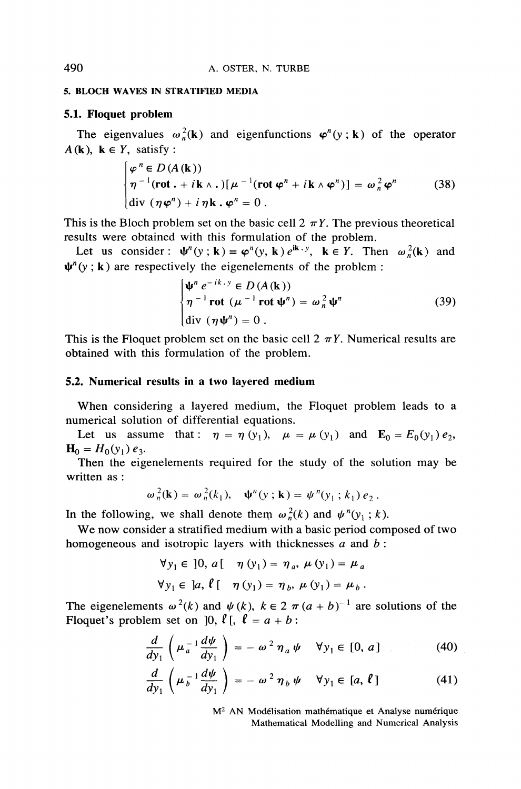#### 5. RLOCH WAVES IN STRATIFIED MEDIA

## 5.1. Floquet problem

The eigenvalues  $\omega_n^2(\mathbf{k})$  and eigenfunctions  $\varphi^n(y; \mathbf{k})$  of the operator  $A(\mathbf{k})$ ,  $\mathbf{k} \in Y$ , satisfy:

$$
\begin{cases}\n\varphi^n \in D(A(\mathbf{k})) \\
\eta^{-1}(\mathbf{rot} \cdot + i\mathbf{k} \wedge \cdot) [\mu^{-1}(\mathbf{rot} \varphi^n + i\mathbf{k} \wedge \varphi^n)] = \omega_n^2 \varphi^n \\
\text{div} \left( \eta \varphi^n \right) + i \eta \mathbf{k} \cdot \varphi^n = 0 \,.\n\end{cases} \tag{38}
$$

This is the Bloch problem set on the basic cell  $2 \pi Y$ . The previous theoretical results were obtained with this formulation of the problem.

Let us consider:  $\psi^n(y; \mathbf{k}) = \varphi^n(y, \mathbf{k}) e^{i\mathbf{k} \cdot y}$ ,  $\mathbf{k} \in Y$ . Then  $\omega^2(\mathbf{k})$  and  $\psi^{n}(y; \mathbf{k})$  are respectively the eigenelements of the problem:

$$
\begin{cases}\n\psi^n e^{-ik \cdot y} \in D(A(\mathbf{k})) \\
\eta^{-1} \operatorname{rot} (\mu^{-1} \operatorname{rot} \psi^n) = \omega_n^2 \psi^n \\
\operatorname{div} (\eta \psi^n) = 0 .\n\end{cases}
$$
\n(39)

This is the Floquet problem set on the basic cell  $2 \pi Y$ . Numerical results are obtained with this formulation of the problem.

## 5.2. Numerical results in a two lavered medium

When considering a layered medium, the Floquet problem leads to a numerical solution of differential equations.

Let us assume that:  $\eta = \eta(y_1)$ ,  $\mu = \mu(y_1)$  and  $\mathbf{E}_0 = E_0(y_1) e_2$ ,  $H_0 = H_0(y_1) e_3.$ 

Then the eigenelements required for the study of the solution may be written as ·

$$
\omega_n^2(\mathbf{k}) = \omega_n^2(k_1), \quad \Psi^n(y; \mathbf{k}) = \psi^n(y_1; k_1) e_2.
$$

In the following, we shall denote them  $\omega_n^2(k)$  and  $\psi^n(y_1; k)$ .

We now consider a stratified medium with a basic period composed of two homogeneous and isotropic layers with thicknesses  $a$  and  $b$ :

$$
\forall y_1 \in [0, a[ \quad \eta(y_1) = \eta_a, \mu(y_1) = \mu_a
$$
  

$$
\forall y_1 \in [a, \ell[ \quad \eta(y_1) = \eta_b, \mu(y_1) = \mu_b.
$$

The eigenelements  $\omega^2(k)$  and  $\psi(k)$ ,  $k \in 2 \pi (a + b)^{-1}$  are solutions of the Floquet's problem set on  $[0, \ell]$ ,  $\ell = a + b$ :

$$
\frac{d}{dy_1}\left(\mu_a^{-1}\frac{d\psi}{dy_1}\right) = -\omega^2 \eta_a \psi \quad \forall y_1 \in [0, a]
$$
\n(40)

$$
\frac{d}{dy_1}\left(\mu_b^{-1}\frac{d\psi}{dy_1}\right)=-\omega^2\,\eta_b\,\psi\quad\forall y_1\in[a,\,\ell]
$$
\n(41)

M<sup>2</sup> AN Modélisation mathématique et Analyse numérique Mathematical Modelling and Numerical Analysis

## 490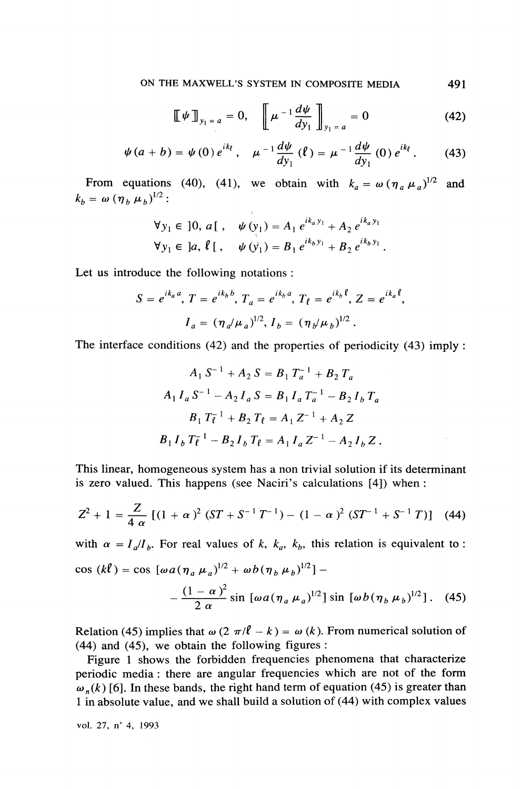$$
\llbracket \Psi \rrbracket_{y_1 = a} = 0, \quad \llbracket \mu^{-1} \frac{d \psi}{dy_1} \rrbracket_{y_1 = a} = 0 \tag{42}
$$

$$
\psi(a+b) = \psi(0) e^{ik} , \quad \mu^{-1} \frac{d \psi}{dy_1} (\ell) = \mu^{-1} \frac{d \psi}{dy_1} (0) e^{ik} . \tag{43}
$$

From equations (40), (41), we obtain with  $k_a = \omega (\eta_a \mu_a)^{1/2}$  and  $k_{h} = \omega (\eta_{h} \mu_{h})^{1/2}$ :

$$
\forall y_1 \in [0, a[, \quad \psi(y_1) = A_1 e^{ik_a y_1} + A_2 e^{ik_a y_1}
$$
  

$$
\forall y_1 \in [a, \ell[, \quad \psi(y_1) = B_1 e^{ik_b y_1} + B_2 e^{ik_b y_1}.
$$

Let us introduce the following notations:

$$
S = e^{ik_a a}, T = e^{ik_b b}, T_a = e^{ik_b a}, T_\ell = e^{ik_b \ell}, Z = e^{ik_a \ell},
$$
  

$$
I_a = (\eta_a / \mu_a)^{1/2}, I_b = (\eta_b / \mu_b)^{1/2}.
$$

The interface conditions  $(42)$  and the properties of periodicity  $(43)$  imply:

$$
A_1 S^{-1} + A_2 S = B_1 T_a^{-1} + B_2 T_a
$$
  
\n
$$
A_1 I_a S^{-1} - A_2 I_a S = B_1 I_a T_a^{-1} - B_2 I_b T_a
$$
  
\n
$$
B_1 T_{\ell}^{-1} + B_2 T_{\ell} = A_1 Z^{-1} + A_2 Z
$$
  
\n
$$
B_1 I_b T_{\ell}^{-1} - B_2 I_b T_{\ell} = A_1 I_a Z^{-1} - A_2 I_b Z.
$$

This linear, homogeneous system has a non trivial solution if its determinant is zero valued. This happens (see Naciri's calculations [4]) when :

$$
Z^{2} + 1 = \frac{Z}{4 \alpha} \left[ (1 + \alpha)^{2} (ST + S^{-1}T^{-1}) - (1 - \alpha)^{2} (ST^{-1} + S^{-1}T) \right] (44)
$$

with  $\alpha = I_a/I_b$ . For real values of k, k<sub>a</sub>, k<sub>h</sub>, this relation is equivalent to:  $\cos (k\ell) = \cos [\omega a (\eta_a \mu_a)^{1/2} + \omega b (\eta_b \mu_b)^{1/2}]$  –

$$
-\frac{(1-\alpha)^2}{2\,\alpha}\sin\left[\omega a(\eta_a\,\mu_a)^{1/2}\right]\sin\left[\omega b(\eta_b\,\mu_b)^{1/2}\right].\quad(45)
$$

Relation (45) implies that  $\omega(2 \pi/l - k) = \omega(k)$ . From numerical solution of  $(44)$  and  $(45)$ , we obtain the following figures:

Figure 1 shows the forbidden frequencies phenomena that characterize periodic media: there are angular frequencies which are not of the form  $\omega_n(k)$  [6]. In these bands, the right hand term of equation (45) is greater than 1 in absolute value, and we shall build a solution of (44) with complex values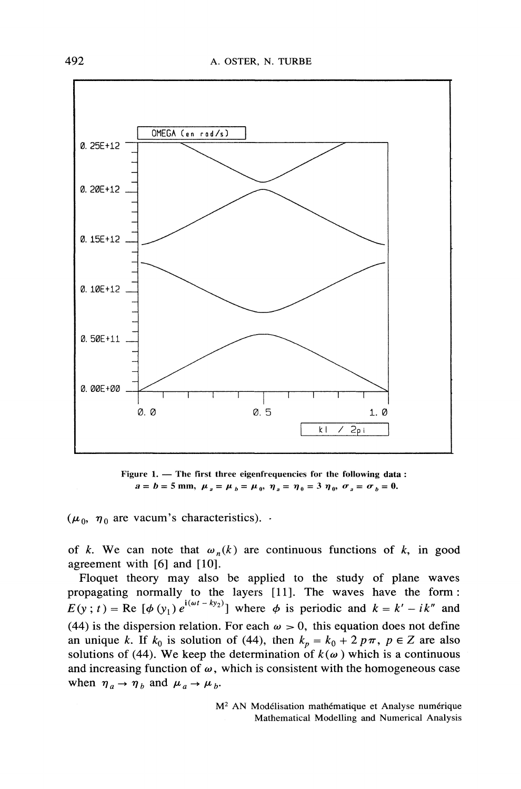

Figure 1. - The first three eigenfrequencies for the following data:  $a = b = 5$  mm,  $\mu_a = \mu_b = \mu_0$ ,  $\eta_a = \eta_0 = 3$   $\eta_0$ ,  $\sigma_a = \sigma_b = 0$ .

 $(\mu_0, \eta_0)$  are vacum's characteristics).

of k. We can note that  $\omega_n(k)$  are continuous functions of k, in good agreement with [6] and [10].

Floquet theory may also be applied to the study of plane waves propagating normally to the layers [11]. The waves have the form:  $E(y; t) = \text{Re}[(\phi(y_1)e^{i(\omega t - ky_2)})]$  where  $\phi$  is periodic and  $k = k' - ik''$  and (44) is the dispersion relation. For each  $\omega > 0$ , this equation does not define an unique k. If  $k_0$  is solution of (44), then  $k_p = k_0 + 2p\pi$ ,  $p \in Z$  are also solutions of (44). We keep the determination of  $k(\omega)$  which is a continuous and increasing function of  $\omega$ , which is consistent with the homogeneous case when  $\eta_a \rightarrow \eta_b$  and  $\mu_a \rightarrow \mu_b$ .

> M<sup>2</sup> AN Modélisation mathématique et Analyse numérique Mathematical Modelling and Numerical Analysis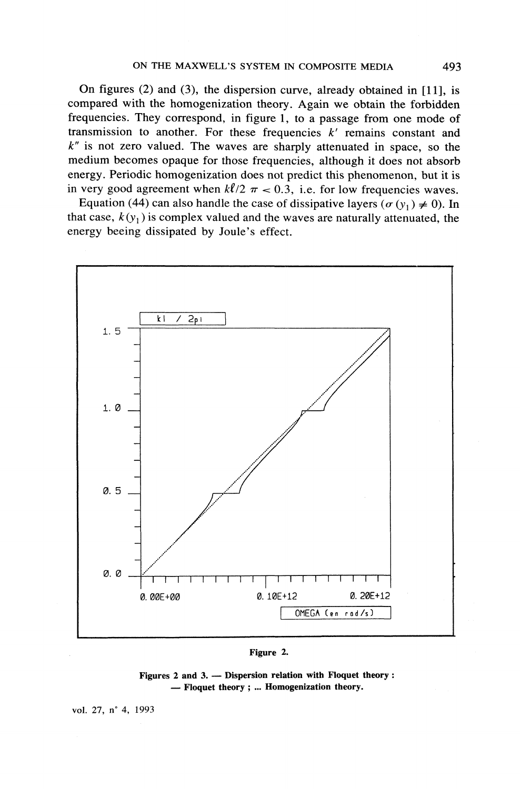On figures  $(2)$  and  $(3)$ , the dispersion curve, already obtained in [11], is compared with the homogenization theory. Again we obtain the forbidden frequencies. They correspond, in figure 1, to a passage from one mode of transmission to another. For these frequencies  $k'$  remains constant and  $k''$  is not zero valued. The waves are sharply attenuated in space, so the medium becomes opaque for those frequencies, although it does not absorb energy. Periodic homogenization does not predict this phenomenon, but it is in very good agreement when  $k\ell/2 \pi < 0.3$ , i.e. for low frequencies waves.

Equation (44) can also handle the case of dissipative layers ( $\sigma$  ( $y_1$ )  $\neq$  0). In that case,  $k(y_1)$  is complex valued and the waves are naturally attenuated, the energy beeing dissipated by Joule's effect.



#### Figure 2.

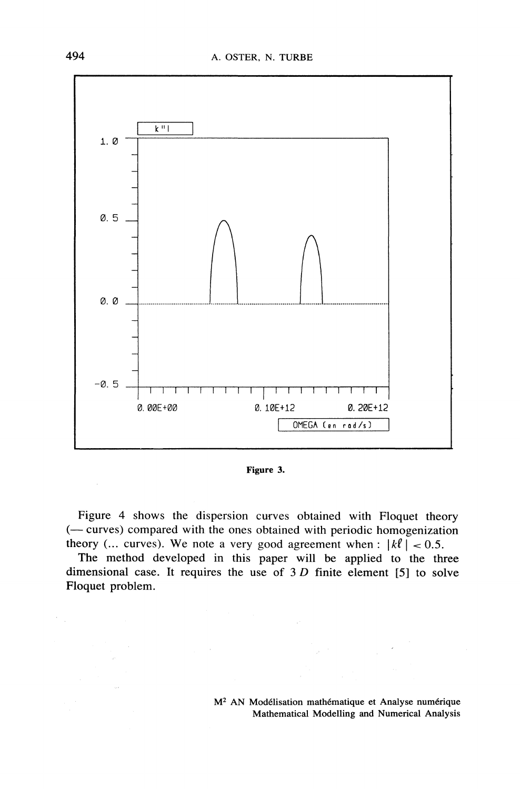

Figure 3.

Figure 4 shows the dispersion curves obtained with Floquet theory (- curves) compared with the ones obtained with periodic homogenization theory (... curves). We note a very good agreement when :  $|k\ell| < 0.5$ .

The method developed in this paper will be applied to the three dimensional case. It requires the use of  $3 D$  finite element [5] to solve Floquet problem.

 $\hat{\mathcal{I}}$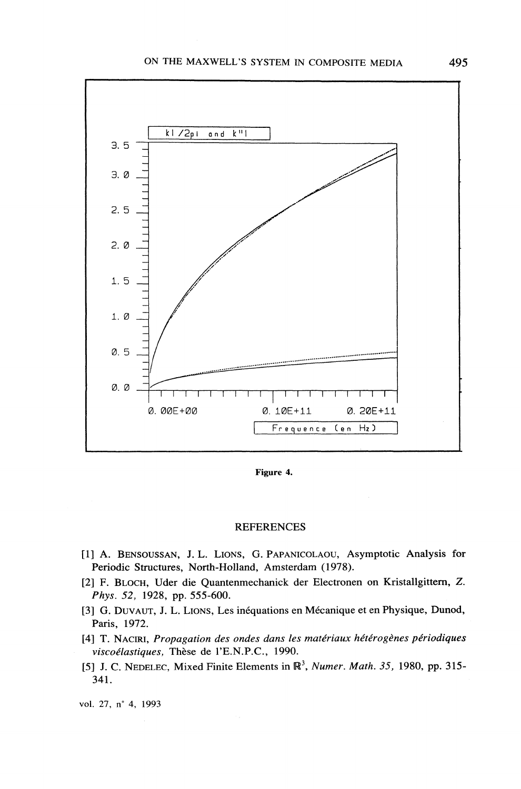

Figure 4.

#### **REFERENCES**

- [1] A. BENSOUSSAN, J. L. LIONS, G. PAPANICOLAOU, Asymptotic Analysis for Periodic Structures, North-Holland, Amsterdam (1978).
- [2] F. BLOCH, Uder die Quantenmechanick der Electronen on Kristallgittern, Z. Phys. 52, 1928, pp. 555-600.
- [3] G. DUVAUT, J. L. LIONS, Les inéquations en Mécanique et en Physique, Dunod, Paris, 1972.
- [4] T. NACIRI, Propagation des ondes dans les matériaux hétérogènes périodiques viscoélastiques, Thèse de l'E.N.P.C., 1990.
- [5] J. C. NEDELEC, Mixed Finite Elements in  $\mathbb{R}^3$ , Numer. Math. 35, 1980, pp. 315-341.